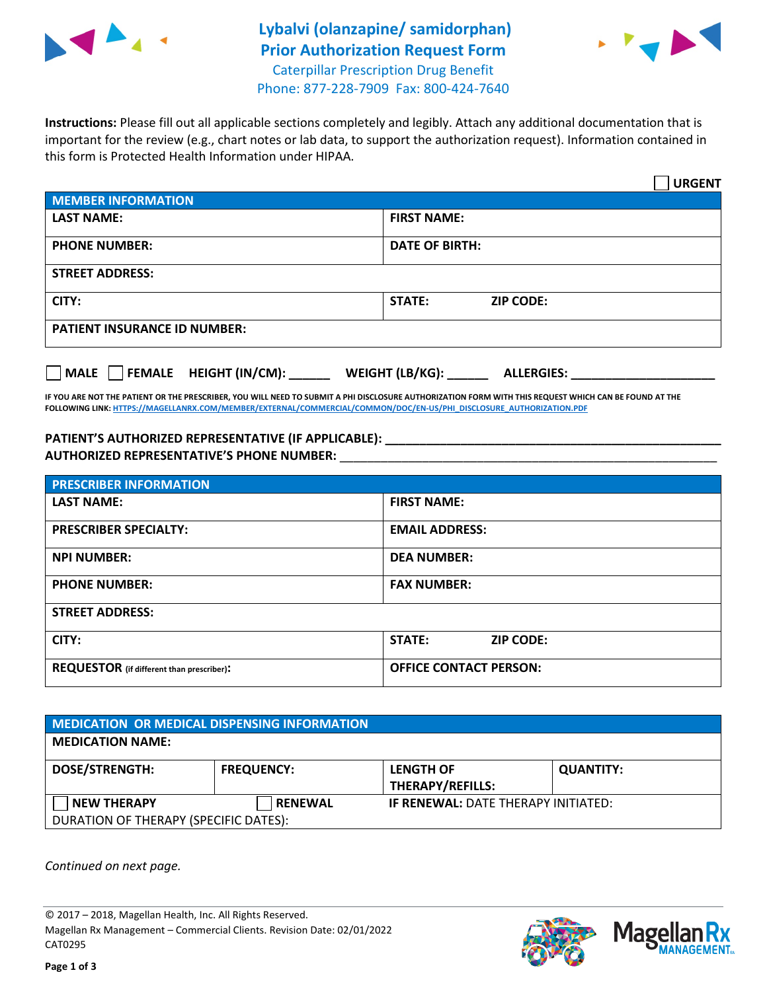

## **Lybalvi (olanzapine/ samidorphan) Prior Authorization Request Form** Caterpillar Prescription Drug Benefit



Phone: 877-228-7909 Fax: 800-424-7640

**Instructions:** Please fill out all applicable sections completely and legibly. Attach any additional documentation that is important for the review (e.g., chart notes or lab data, to support the authorization request). Information contained in this form is Protected Health Information under HIPAA.

|                                                | <b>URGENT</b>                        |  |  |
|------------------------------------------------|--------------------------------------|--|--|
| <b>MEMBER INFORMATION</b>                      |                                      |  |  |
| <b>LAST NAME:</b>                              | <b>FIRST NAME:</b>                   |  |  |
| <b>PHONE NUMBER:</b>                           | <b>DATE OF BIRTH:</b>                |  |  |
| <b>STREET ADDRESS:</b>                         |                                      |  |  |
| CITY:                                          | <b>ZIP CODE:</b><br>STATE:           |  |  |
| <b>PATIENT INSURANCE ID NUMBER:</b>            |                                      |  |  |
| FEMALE HEIGHT (IN/CM):<br>$\vert$ $\vert$ MALE | WEIGHT (LB/KG):<br><b>ALLERGIES:</b> |  |  |

**IF YOU ARE NOT THE PATIENT OR THE PRESCRIBER, YOU WILL NEED TO SUBMIT A PHI DISCLOSURE AUTHORIZATION FORM WITH THIS REQUEST WHICH CAN BE FOUND AT THE FOLLOWING LINK[: HTTPS://MAGELLANRX.COM/MEMBER/EXTERNAL/COMMERCIAL/COMMON/DOC/EN-US/PHI\\_DISCLOSURE\\_AUTHORIZATION.PDF](https://magellanrx.com/member/external/commercial/common/doc/en-us/PHI_Disclosure_Authorization.pdf)**

**PATIENT'S AUTHORIZED REPRESENTATIVE (IF APPLICABLE): \_\_\_\_\_\_\_\_\_\_\_\_\_\_\_\_\_\_\_\_\_\_\_\_\_\_\_\_\_\_\_\_\_\_\_\_\_\_\_\_\_\_\_\_\_\_\_\_\_ AUTHORIZED REPRESENTATIVE'S PHONE NUMBER:** \_\_\_\_\_\_\_\_\_\_\_\_\_\_\_\_\_\_\_\_\_\_\_\_\_\_\_\_\_\_\_\_\_\_\_\_\_\_\_\_\_\_\_\_\_\_\_\_\_\_\_\_\_\_\_

| <b>PRESCRIBER INFORMATION</b>             |                               |  |
|-------------------------------------------|-------------------------------|--|
| <b>LAST NAME:</b>                         | <b>FIRST NAME:</b>            |  |
| <b>PRESCRIBER SPECIALTY:</b>              | <b>EMAIL ADDRESS:</b>         |  |
| <b>NPI NUMBER:</b>                        | <b>DEA NUMBER:</b>            |  |
| <b>PHONE NUMBER:</b>                      | <b>FAX NUMBER:</b>            |  |
| <b>STREET ADDRESS:</b>                    |                               |  |
| CITY:                                     | STATE:<br><b>ZIP CODE:</b>    |  |
| REQUESTOR (if different than prescriber): | <b>OFFICE CONTACT PERSON:</b> |  |

| <b>MEDICATION OR MEDICAL DISPENSING INFORMATION</b> |                   |                                                                       |                  |  |
|-----------------------------------------------------|-------------------|-----------------------------------------------------------------------|------------------|--|
| <b>MEDICATION NAME:</b>                             |                   |                                                                       |                  |  |
| <b>DOSE/STRENGTH:</b>                               | <b>FREQUENCY:</b> | <b>LENGTH OF</b>                                                      | <b>QUANTITY:</b> |  |
| <b>NEW THERAPY</b>                                  | <b>RENEWAL</b>    | <b>THERAPY/REFILLS:</b><br><b>IF RENEWAL: DATE THERAPY INITIATED:</b> |                  |  |
| DURATION OF THERAPY (SPECIFIC DATES):               |                   |                                                                       |                  |  |

*Continued on next page.*

© 2017 – 2018, Magellan Health, Inc. All Rights Reserved. Magellan Rx Management – Commercial Clients. Revision Date: 02/01/2022 CAT0295



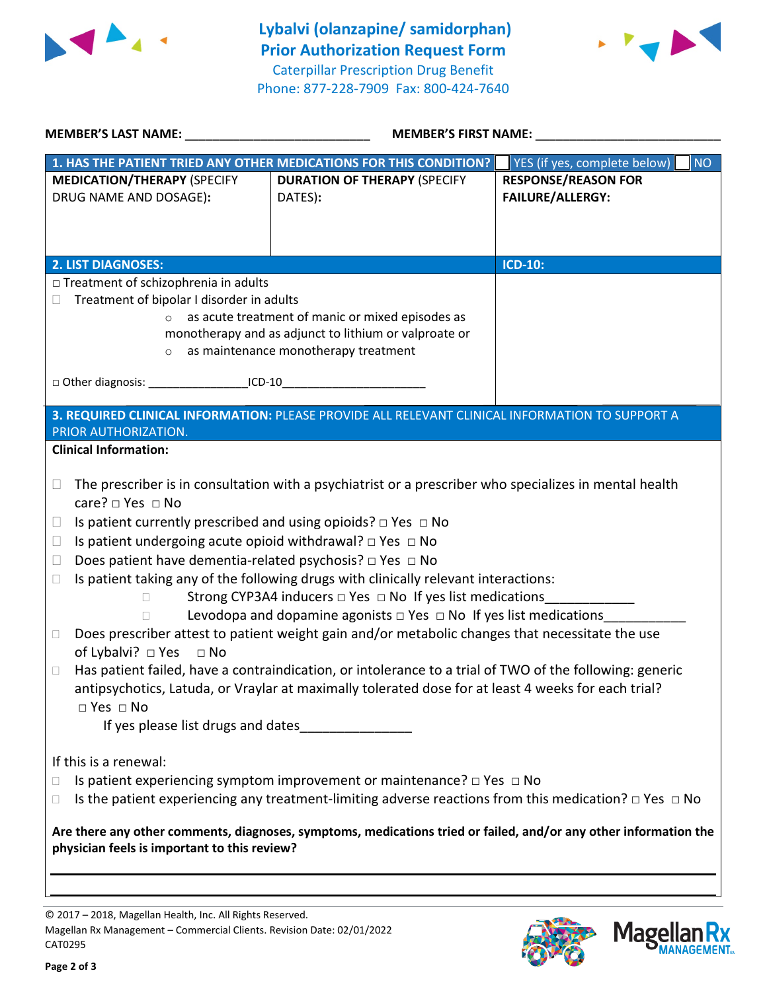



| <b>MEMBER'S LAST NAME:</b> NAME:<br>MEMBER'S FIRST NAME:                                                                                                                                                                                                                                                                                                                                                                                                                                                                                                                                                                                                                                                                                                                                                                                                                                                                                                                                                                                                                                                            |                                                                                                                                                                                                                                                                        |  |  |  |
|---------------------------------------------------------------------------------------------------------------------------------------------------------------------------------------------------------------------------------------------------------------------------------------------------------------------------------------------------------------------------------------------------------------------------------------------------------------------------------------------------------------------------------------------------------------------------------------------------------------------------------------------------------------------------------------------------------------------------------------------------------------------------------------------------------------------------------------------------------------------------------------------------------------------------------------------------------------------------------------------------------------------------------------------------------------------------------------------------------------------|------------------------------------------------------------------------------------------------------------------------------------------------------------------------------------------------------------------------------------------------------------------------|--|--|--|
|                                                                                                                                                                                                                                                                                                                                                                                                                                                                                                                                                                                                                                                                                                                                                                                                                                                                                                                                                                                                                                                                                                                     | YES (if yes, complete below)<br><b>NO</b>                                                                                                                                                                                                                              |  |  |  |
| <b>DURATION OF THERAPY (SPECIFY</b>                                                                                                                                                                                                                                                                                                                                                                                                                                                                                                                                                                                                                                                                                                                                                                                                                                                                                                                                                                                                                                                                                 | <b>RESPONSE/REASON FOR</b>                                                                                                                                                                                                                                             |  |  |  |
| DATES):                                                                                                                                                                                                                                                                                                                                                                                                                                                                                                                                                                                                                                                                                                                                                                                                                                                                                                                                                                                                                                                                                                             | <b>FAILURE/ALLERGY:</b>                                                                                                                                                                                                                                                |  |  |  |
|                                                                                                                                                                                                                                                                                                                                                                                                                                                                                                                                                                                                                                                                                                                                                                                                                                                                                                                                                                                                                                                                                                                     |                                                                                                                                                                                                                                                                        |  |  |  |
|                                                                                                                                                                                                                                                                                                                                                                                                                                                                                                                                                                                                                                                                                                                                                                                                                                                                                                                                                                                                                                                                                                                     |                                                                                                                                                                                                                                                                        |  |  |  |
|                                                                                                                                                                                                                                                                                                                                                                                                                                                                                                                                                                                                                                                                                                                                                                                                                                                                                                                                                                                                                                                                                                                     | <b>ICD-10:</b>                                                                                                                                                                                                                                                         |  |  |  |
| □ Treatment of schizophrenia in adults                                                                                                                                                                                                                                                                                                                                                                                                                                                                                                                                                                                                                                                                                                                                                                                                                                                                                                                                                                                                                                                                              |                                                                                                                                                                                                                                                                        |  |  |  |
| Treatment of bipolar I disorder in adults                                                                                                                                                                                                                                                                                                                                                                                                                                                                                                                                                                                                                                                                                                                                                                                                                                                                                                                                                                                                                                                                           |                                                                                                                                                                                                                                                                        |  |  |  |
| as acute treatment of manic or mixed episodes as                                                                                                                                                                                                                                                                                                                                                                                                                                                                                                                                                                                                                                                                                                                                                                                                                                                                                                                                                                                                                                                                    |                                                                                                                                                                                                                                                                        |  |  |  |
|                                                                                                                                                                                                                                                                                                                                                                                                                                                                                                                                                                                                                                                                                                                                                                                                                                                                                                                                                                                                                                                                                                                     |                                                                                                                                                                                                                                                                        |  |  |  |
|                                                                                                                                                                                                                                                                                                                                                                                                                                                                                                                                                                                                                                                                                                                                                                                                                                                                                                                                                                                                                                                                                                                     |                                                                                                                                                                                                                                                                        |  |  |  |
| □ Other diagnosis: _____________________ICD-10_________________________________                                                                                                                                                                                                                                                                                                                                                                                                                                                                                                                                                                                                                                                                                                                                                                                                                                                                                                                                                                                                                                     |                                                                                                                                                                                                                                                                        |  |  |  |
|                                                                                                                                                                                                                                                                                                                                                                                                                                                                                                                                                                                                                                                                                                                                                                                                                                                                                                                                                                                                                                                                                                                     |                                                                                                                                                                                                                                                                        |  |  |  |
|                                                                                                                                                                                                                                                                                                                                                                                                                                                                                                                                                                                                                                                                                                                                                                                                                                                                                                                                                                                                                                                                                                                     |                                                                                                                                                                                                                                                                        |  |  |  |
|                                                                                                                                                                                                                                                                                                                                                                                                                                                                                                                                                                                                                                                                                                                                                                                                                                                                                                                                                                                                                                                                                                                     |                                                                                                                                                                                                                                                                        |  |  |  |
|                                                                                                                                                                                                                                                                                                                                                                                                                                                                                                                                                                                                                                                                                                                                                                                                                                                                                                                                                                                                                                                                                                                     |                                                                                                                                                                                                                                                                        |  |  |  |
| The prescriber is in consultation with a psychiatrist or a prescriber who specializes in mental health<br>$\Box$<br>care? $\Box$ Yes $\Box$ No<br>Is patient currently prescribed and using opioids? $\Box$ Yes $\Box$ No<br>Ш<br>Is patient undergoing acute opioid withdrawal? $\Box$ Yes $\Box$ No<br>u<br>Does patient have dementia-related psychosis? $\Box$ Yes $\Box$ No<br>$\Box$<br>Is patient taking any of the following drugs with clinically relevant interactions:<br>$\Box$<br>Strong CYP3A4 inducers $\Box$ Yes $\Box$ No If yes list medications<br>$\Box$<br>Levodopa and dopamine agonists $\Box$ Yes $\Box$ No If yes list medications<br>П<br>Does prescriber attest to patient weight gain and/or metabolic changes that necessitate the use<br>$\Box$<br>of Lybalvi? $\Box$ Yes $\Box$ No<br>Has patient failed, have a contraindication, or intolerance to a trial of TWO of the following: generic<br>□<br>antipsychotics, Latuda, or Vraylar at maximally tolerated dose for at least 4 weeks for each trial?<br>$\Box$ Yes $\Box$ No<br>If yes please list drugs and dates_____________ |                                                                                                                                                                                                                                                                        |  |  |  |
| If this is a renewal:<br>Is patient experiencing symptom improvement or maintenance? $\Box$ Yes $\Box$ No<br>□<br>Is the patient experiencing any treatment-limiting adverse reactions from this medication? $\Box$ Yes $\Box$ No<br>□<br>Are there any other comments, diagnoses, symptoms, medications tried or failed, and/or any other information the<br>physician feels is important to this review?                                                                                                                                                                                                                                                                                                                                                                                                                                                                                                                                                                                                                                                                                                          |                                                                                                                                                                                                                                                                        |  |  |  |
|                                                                                                                                                                                                                                                                                                                                                                                                                                                                                                                                                                                                                                                                                                                                                                                                                                                                                                                                                                                                                                                                                                                     | 1. HAS THE PATIENT TRIED ANY OTHER MEDICATIONS FOR THIS CONDITION?<br>monotherapy and as adjunct to lithium or valproate or<br>as maintenance monotherapy treatment<br>3. REQUIRED CLINICAL INFORMATION: PLEASE PROVIDE ALL RELEVANT CLINICAL INFORMATION TO SUPPORT A |  |  |  |

© 2017 – 2018, Magellan Health, Inc. All Rights Reserved. Magellan Rx Management – Commercial Clients. Revision Date: 02/01/2022 CAT0295